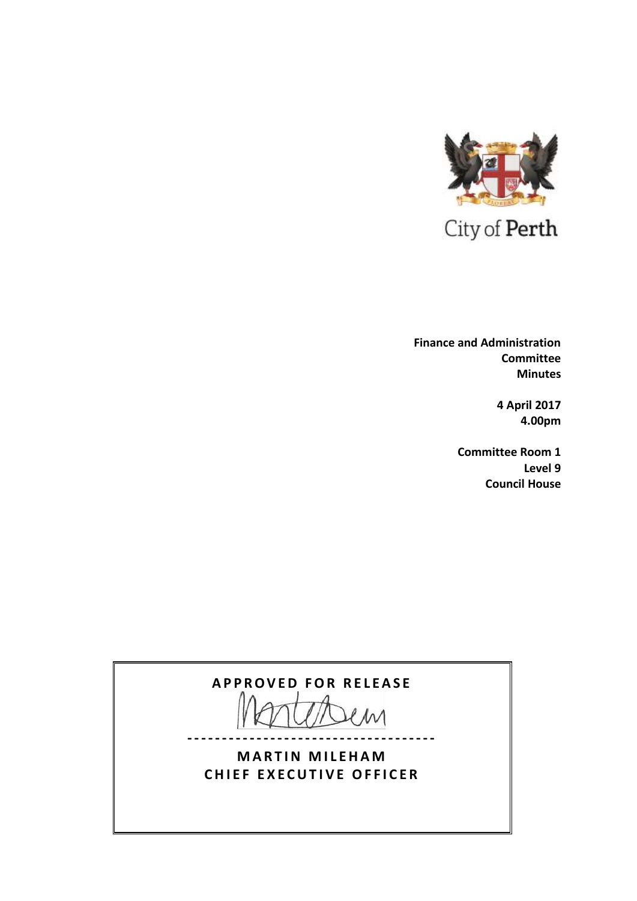

 **Finance and Administration Committee Minutes**

> **4 April 2017 4.00pm**

**Committee Room 1 Level 9 Council House**

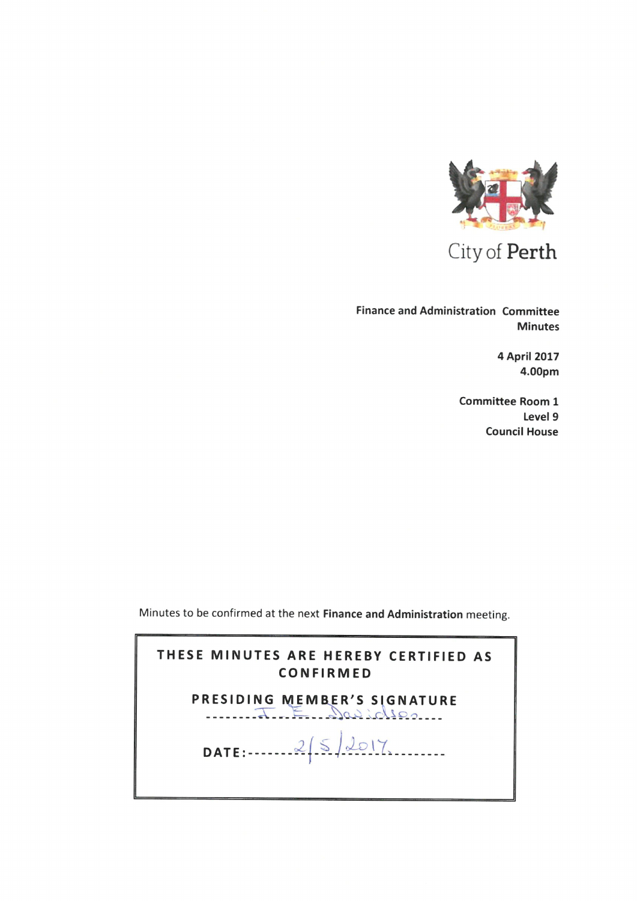

City of Perth

Finance and Administration Committee Minutes

> 4 April 2017 4.00pm

Committee Room <sup>1</sup> Level 9 Council House

Minutes to be confirmed at the next Finance and Administration meeting.

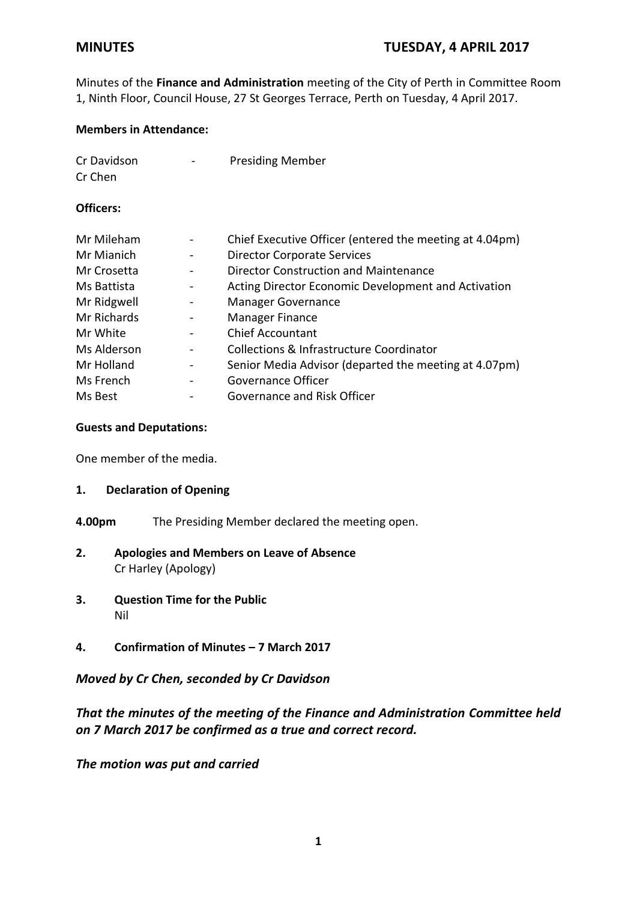Minutes of the **Finance and Administration** meeting of the City of Perth in Committee Room 1, Ninth Floor, Council House, 27 St Georges Terrace, Perth on Tuesday, 4 April 2017.

## **Members in Attendance:**

| Cr Davidson | - | <b>Presiding Member</b> |
|-------------|---|-------------------------|
| Cr Chen     |   |                         |

## **Officers:**

| Mr Mileham  |                              | Chief Executive Officer (entered the meeting at 4.04pm) |
|-------------|------------------------------|---------------------------------------------------------|
| Mr Mianich  |                              | <b>Director Corporate Services</b>                      |
| Mr Crosetta |                              | <b>Director Construction and Maintenance</b>            |
| Ms Battista | $\qquad \qquad \blacksquare$ | Acting Director Economic Development and Activation     |
| Mr Ridgwell |                              | <b>Manager Governance</b>                               |
| Mr Richards | $\blacksquare$               | Manager Finance                                         |
| Mr White    |                              | <b>Chief Accountant</b>                                 |
| Ms Alderson |                              | <b>Collections &amp; Infrastructure Coordinator</b>     |
| Mr Holland  |                              | Senior Media Advisor (departed the meeting at 4.07pm)   |
| Ms French   |                              | Governance Officer                                      |
| Ms Best     |                              | Governance and Risk Officer                             |

## **Guests and Deputations:**

One member of the media.

## **1. Declaration of Opening**

- **4.00pm** The Presiding Member declared the meeting open.
- **2. Apologies and Members on Leave of Absence** Cr Harley (Apology)
- **3. Question Time for the Public** Nil
- **4. Confirmation of Minutes – 7 March 2017**

## *Moved by Cr Chen, seconded by Cr Davidson*

# *That the minutes of the meeting of the Finance and Administration Committee held on 7 March 2017 be confirmed as a true and correct record.*

*The motion was put and carried*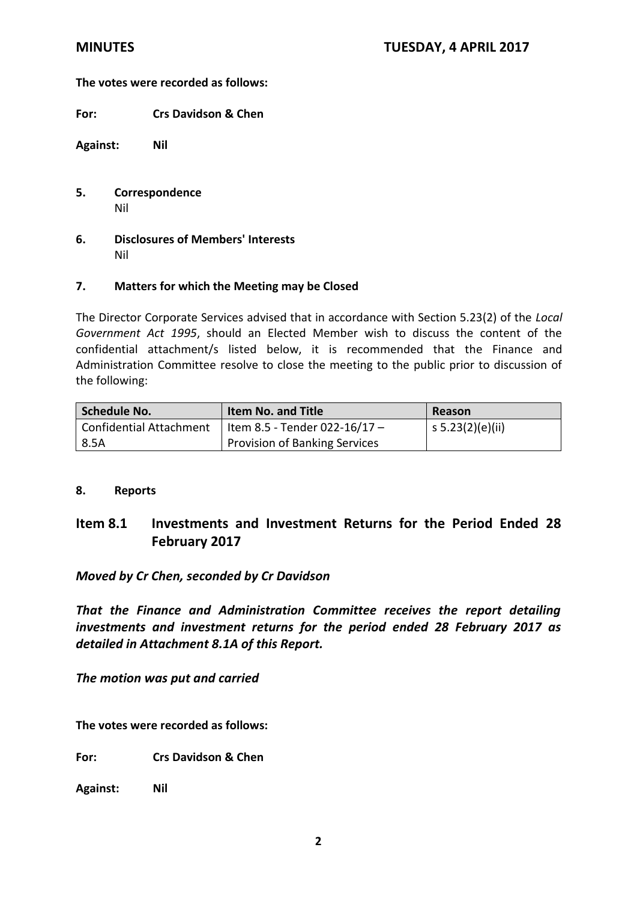## **The votes were recorded as follows:**

**For: Crs Davidson & Chen**

**Against: Nil**

- **5. Correspondence** Nil
- **6. Disclosures of Members' Interests** Nil

## **7. Matters for which the Meeting may be Closed**

The Director Corporate Services advised that in accordance with Section 5.23(2) of the *Local Government Act 1995*, should an Elected Member wish to discuss the content of the confidential attachment/s listed below, it is recommended that the Finance and Administration Committee resolve to close the meeting to the public prior to discussion of the following:

| Schedule No.            | <b>Item No. and Title</b>     | Reason           |
|-------------------------|-------------------------------|------------------|
| Confidential Attachment | Item 8.5 - Tender 022-16/17 - | s 5.23(2)(e)(ii) |
| 8.5A                    | Provision of Banking Services |                  |

#### **8. Reports**

# **Item 8.1 Investments and Investment Returns for the Period Ended 28 February 2017**

## *Moved by Cr Chen, seconded by Cr Davidson*

*That the Finance and Administration Committee receives the report detailing investments and investment returns for the period ended 28 February 2017 as detailed in Attachment 8.1A of this Report.*

*The motion was put and carried*

**The votes were recorded as follows:**

**For: Crs Davidson & Chen** 

**Against: Nil**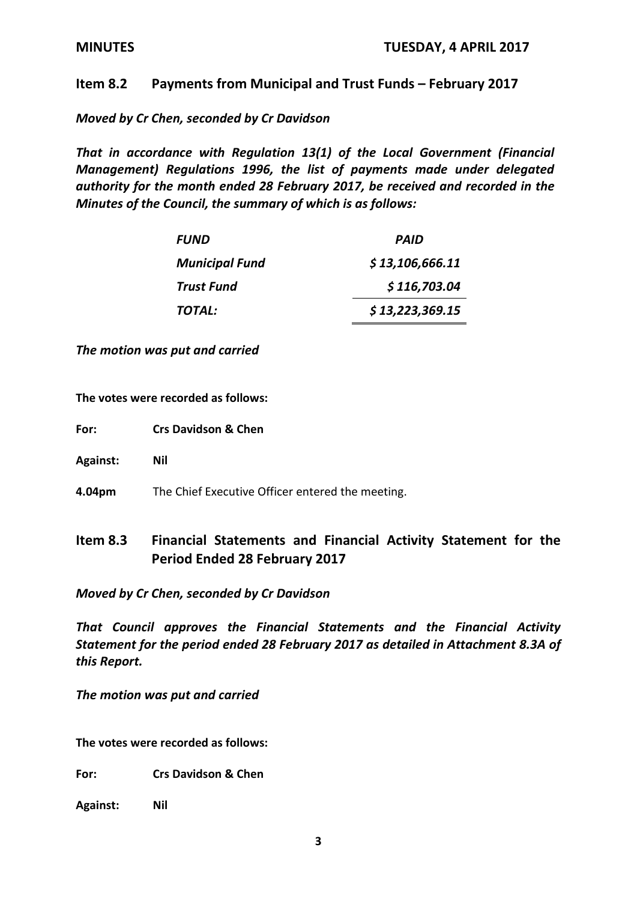## **Item 8.2 Payments from Municipal and Trust Funds – February 2017**

*Moved by Cr Chen, seconded by Cr Davidson*

*That in accordance with Regulation 13(1) of the Local Government (Financial Management) Regulations 1996, the list of payments made under delegated authority for the month ended 28 February 2017, be received and recorded in the Minutes of the Council, the summary of which is as follows:*

| <i><b>FUND</b></i>    | PAID            |
|-----------------------|-----------------|
| <b>Municipal Fund</b> | \$13,106,666.11 |
| Trust Fund            | \$116,703.04    |
| TOTAL:                | \$13,223,369.15 |

*The motion was put and carried*

**The votes were recorded as follows:**

- **For: Crs Davidson & Chen**
- **Against: Nil**
- **4.04pm** The Chief Executive Officer entered the meeting.
- **Item 8.3 Financial Statements and Financial Activity Statement for the Period Ended 28 February 2017**

*Moved by Cr Chen, seconded by Cr Davidson*

*That Council approves the Financial Statements and the Financial Activity Statement for the period ended 28 February 2017 as detailed in Attachment 8.3A of this Report.*

*The motion was put and carried*

**The votes were recorded as follows:**

**For: Crs Davidson & Chen** 

**Against: Nil**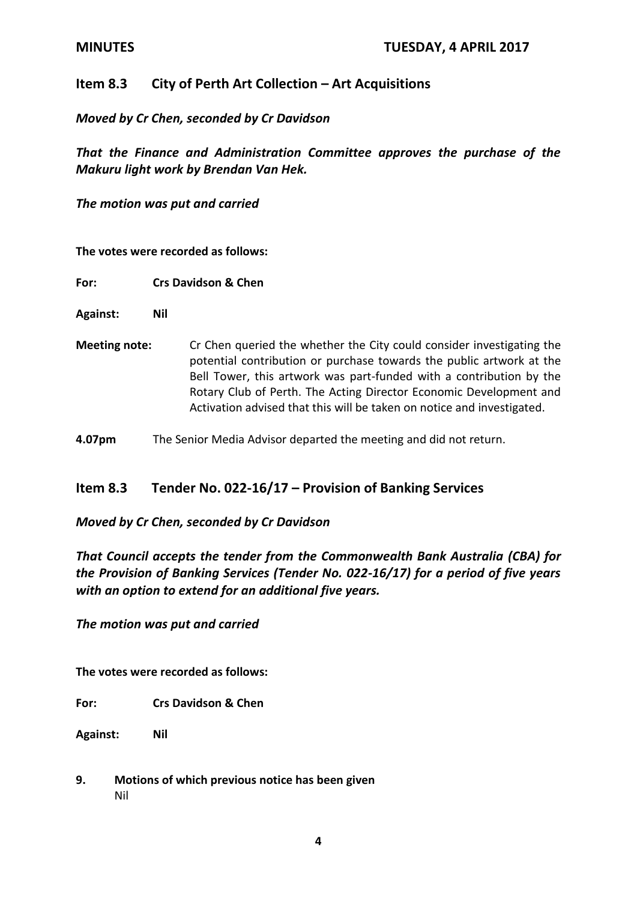# **Item 8.3** City of Perth Art Collection – Art Acquisitions

## *Moved by Cr Chen, seconded by Cr Davidson*

*That the Finance and Administration Committee approves the purchase of the Makuru light work by Brendan Van Hek.* 

*The motion was put and carried*

**The votes were recorded as follows:**

- **For: Crs Davidson & Chen**
- **Against: Nil**
- **Meeting note:** Cr Chen queried the whether the City could consider investigating the potential contribution or purchase towards the public artwork at the Bell Tower, this artwork was part-funded with a contribution by the Rotary Club of Perth. The Acting Director Economic Development and Activation advised that this will be taken on notice and investigated.
- **4.07pm** The Senior Media Advisor departed the meeting and did not return.

## **Item 8.3 Tender No. 022-16/17 – Provision of Banking Services**

*Moved by Cr Chen, seconded by Cr Davidson* 

*That Council accepts the tender from the Commonwealth Bank Australia (CBA) for the Provision of Banking Services (Tender No. 022-16/17) for a period of five years with an option to extend for an additional five years.*

*The motion was put and carried*

**The votes were recorded as follows:**

**For: Crs Davidson & Chen** 

**Against: Nil**

**9. Motions of which previous notice has been given** Nil